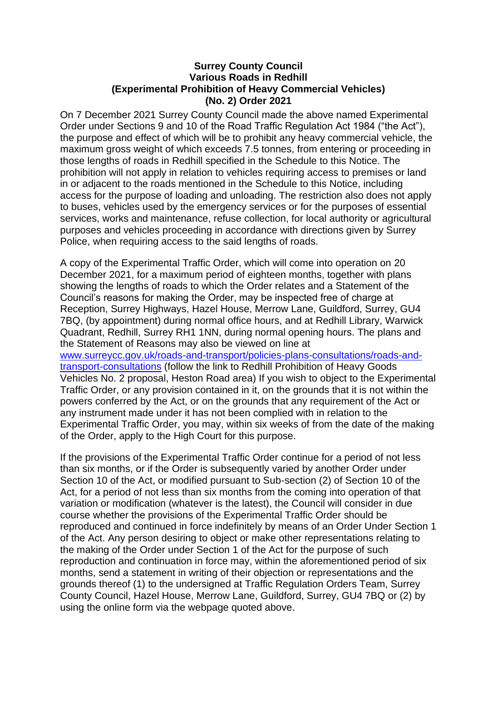## **Surrey County Council Various Roads in Redhill (Experimental Prohibition of Heavy Commercial Vehicles) (No. 2) Order 2021**

On 7 December 2021 Surrey County Council made the above named Experimental Order under Sections 9 and 10 of the Road Traffic Regulation Act 1984 ("the Act"), the purpose and effect of which will be to prohibit any heavy commercial vehicle, the maximum gross weight of which exceeds 7.5 tonnes, from entering or proceeding in those lengths of roads in Redhill specified in the Schedule to this Notice. The prohibition will not apply in relation to vehicles requiring access to premises or land in or adjacent to the roads mentioned in the Schedule to this Notice, including access for the purpose of loading and unloading. The restriction also does not apply to buses, vehicles used by the emergency services or for the purposes of essential services, works and maintenance, refuse collection, for local authority or agricultural purposes and vehicles proceeding in accordance with directions given by Surrey Police, when requiring access to the said lengths of roads.

A copy of the Experimental Traffic Order, which will come into operation on 20 December 2021, for a maximum period of eighteen months, together with plans showing the lengths of roads to which the Order relates and a Statement of the Council's reasons for making the Order, may be inspected free of charge at Reception, Surrey Highways, Hazel House, Merrow Lane, Guildford, Surrey, GU4 7BQ, (by appointment) during normal office hours, and at Redhill Library, Warwick Quadrant, Redhill, Surrey RH1 1NN, during normal opening hours. The plans and the Statement of Reasons may also be viewed on line at [www.surreycc.gov.uk/roads-and-transport/policies-plans-consultations/roads-and](http://www.surreycc.gov.uk/roads-and-transport/policies-plans-consultations/roads-and-transport-consultations)[transport-consultations](http://www.surreycc.gov.uk/roads-and-transport/policies-plans-consultations/roads-and-transport-consultations) (follow the link to Redhill Prohibition of Heavy Goods Vehicles No. 2 proposal, Heston Road area) If you wish to object to the Experimental Traffic Order, or any provision contained in it, on the grounds that it is not within the powers conferred by the Act, or on the grounds that any requirement of the Act or any instrument made under it has not been complied with in relation to the Experimental Traffic Order, you may, within six weeks of from the date of the making of the Order, apply to the High Court for this purpose.

If the provisions of the Experimental Traffic Order continue for a period of not less than six months, or if the Order is subsequently varied by another Order under Section 10 of the Act, or modified pursuant to Sub-section (2) of Section 10 of the Act, for a period of not less than six months from the coming into operation of that variation or modification (whatever is the latest), the Council will consider in due course whether the provisions of the Experimental Traffic Order should be reproduced and continued in force indefinitely by means of an Order Under Section 1 of the Act. Any person desiring to object or make other representations relating to the making of the Order under Section 1 of the Act for the purpose of such reproduction and continuation in force may, within the aforementioned period of six months, send a statement in writing of their objection or representations and the grounds thereof (1) to the undersigned at Traffic Regulation Orders Team, Surrey County Council, Hazel House, Merrow Lane, Guildford, Surrey, GU4 7BQ or (2) by using the online form via the webpage quoted above.